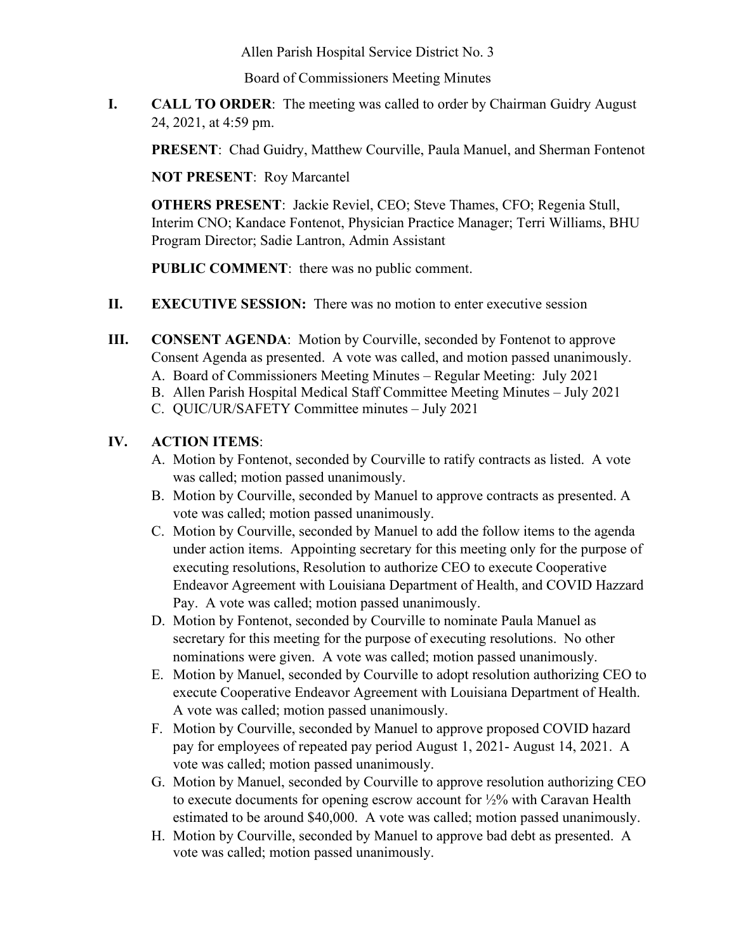Allen Parish Hospital Service District No. 3

Board of Commissioners Meeting Minutes

**I. CALL TO ORDER**: The meeting was called to order by Chairman Guidry August 24, 2021, at 4:59 pm.

**PRESENT**: Chad Guidry, Matthew Courville, Paula Manuel, and Sherman Fontenot

**NOT PRESENT**: Roy Marcantel

**OTHERS PRESENT**: Jackie Reviel, CEO; Steve Thames, CFO; Regenia Stull, Interim CNO; Kandace Fontenot, Physician Practice Manager; Terri Williams, BHU Program Director; Sadie Lantron, Admin Assistant

**PUBLIC COMMENT**: there was no public comment.

- **II. EXECUTIVE SESSION:** There was no motion to enter executive session
- **III. CONSENT AGENDA**: Motion by Courville, seconded by Fontenot to approve Consent Agenda as presented. A vote was called, and motion passed unanimously.
	- A. Board of Commissioners Meeting Minutes Regular Meeting: July 2021
	- B. Allen Parish Hospital Medical Staff Committee Meeting Minutes July 2021
	- C. QUIC/UR/SAFETY Committee minutes July 2021

## **IV. ACTION ITEMS**:

- A. Motion by Fontenot, seconded by Courville to ratify contracts as listed. A vote was called; motion passed unanimously.
- B. Motion by Courville, seconded by Manuel to approve contracts as presented. A vote was called; motion passed unanimously.
- C. Motion by Courville, seconded by Manuel to add the follow items to the agenda under action items. Appointing secretary for this meeting only for the purpose of executing resolutions, Resolution to authorize CEO to execute Cooperative Endeavor Agreement with Louisiana Department of Health, and COVID Hazzard Pay. A vote was called; motion passed unanimously.
- D. Motion by Fontenot, seconded by Courville to nominate Paula Manuel as secretary for this meeting for the purpose of executing resolutions. No other nominations were given. A vote was called; motion passed unanimously.
- E. Motion by Manuel, seconded by Courville to adopt resolution authorizing CEO to execute Cooperative Endeavor Agreement with Louisiana Department of Health. A vote was called; motion passed unanimously.
- F. Motion by Courville, seconded by Manuel to approve proposed COVID hazard pay for employees of repeated pay period August 1, 2021- August 14, 2021. A vote was called; motion passed unanimously.
- G. Motion by Manuel, seconded by Courville to approve resolution authorizing CEO to execute documents for opening escrow account for ½% with Caravan Health estimated to be around \$40,000. A vote was called; motion passed unanimously.
- H. Motion by Courville, seconded by Manuel to approve bad debt as presented. A vote was called; motion passed unanimously.